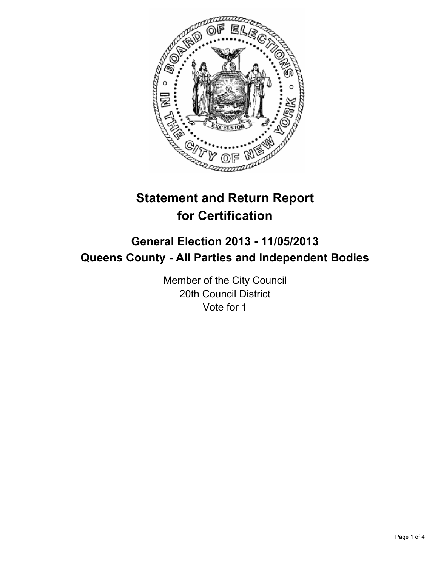

# **Statement and Return Report for Certification**

## **General Election 2013 - 11/05/2013 Queens County - All Parties and Independent Bodies**

Member of the City Council 20th Council District Vote for 1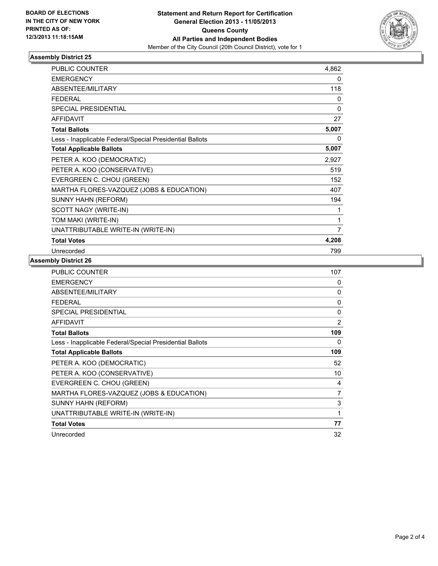

### **Assembly District 25**

| <b>PUBLIC COUNTER</b>                                    | 4,862          |
|----------------------------------------------------------|----------------|
| <b>EMERGENCY</b>                                         | 0              |
| <b>ABSENTEE/MILITARY</b>                                 | 118            |
| <b>FEDERAL</b>                                           | 0              |
| <b>SPECIAL PRESIDENTIAL</b>                              | 0              |
| <b>AFFIDAVIT</b>                                         | 27             |
| <b>Total Ballots</b>                                     | 5,007          |
| Less - Inapplicable Federal/Special Presidential Ballots | 0              |
| <b>Total Applicable Ballots</b>                          | 5,007          |
| PETER A. KOO (DEMOCRATIC)                                | 2,927          |
| PETER A. KOO (CONSERVATIVE)                              | 519            |
| EVERGREEN C. CHOU (GREEN)                                | 152            |
| MARTHA FLORES-VAZQUEZ (JOBS & EDUCATION)                 | 407            |
| SUNNY HAHN (REFORM)                                      | 194            |
| SCOTT NAGY (WRITE-IN)                                    | 1              |
| TOM MAKI (WRITE-IN)                                      | 1              |
| UNATTRIBUTABLE WRITE-IN (WRITE-IN)                       | $\overline{7}$ |
| <b>Total Votes</b>                                       | 4,208          |
| Unrecorded                                               | 799            |

#### **Assembly District 26**

| <b>PUBLIC COUNTER</b>                                    | 107          |
|----------------------------------------------------------|--------------|
| <b>EMERGENCY</b>                                         | 0            |
| ABSENTEE/MILITARY                                        | 0            |
| <b>FEDERAL</b>                                           | 0            |
| <b>SPECIAL PRESIDENTIAL</b>                              | $\mathbf{0}$ |
| <b>AFFIDAVIT</b>                                         | 2            |
| <b>Total Ballots</b>                                     | 109          |
| Less - Inapplicable Federal/Special Presidential Ballots | 0            |
| <b>Total Applicable Ballots</b>                          | 109          |
| PETER A. KOO (DEMOCRATIC)                                | 52           |
| PETER A. KOO (CONSERVATIVE)                              | 10           |
| EVERGREEN C. CHOU (GREEN)                                | 4            |
| MARTHA FLORES-VAZQUEZ (JOBS & EDUCATION)                 | 7            |
| SUNNY HAHN (REFORM)                                      | 3            |
| UNATTRIBUTABLE WRITE-IN (WRITE-IN)                       | 1            |
| <b>Total Votes</b>                                       | 77           |
| Unrecorded                                               | 32           |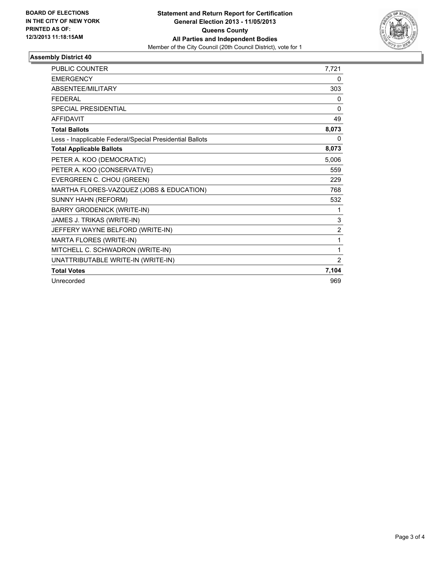

#### **Assembly District 40**

| PUBLIC COUNTER                                           | 7,721          |
|----------------------------------------------------------|----------------|
| <b>EMERGENCY</b>                                         | 0              |
| ABSENTEE/MILITARY                                        | 303            |
| <b>FEDERAL</b>                                           | 0              |
| <b>SPECIAL PRESIDENTIAL</b>                              | $\mathbf{0}$   |
| <b>AFFIDAVIT</b>                                         | 49             |
| <b>Total Ballots</b>                                     | 8,073          |
| Less - Inapplicable Federal/Special Presidential Ballots | 0              |
| <b>Total Applicable Ballots</b>                          | 8,073          |
| PETER A. KOO (DEMOCRATIC)                                | 5,006          |
| PETER A. KOO (CONSERVATIVE)                              | 559            |
| EVERGREEN C. CHOU (GREEN)                                | 229            |
| MARTHA FLORES-VAZQUEZ (JOBS & EDUCATION)                 | 768            |
| SUNNY HAHN (REFORM)                                      | 532            |
| <b>BARRY GRODENICK (WRITE-IN)</b>                        | 1              |
| JAMES J. TRIKAS (WRITE-IN)                               | 3              |
| JEFFERY WAYNE BELFORD (WRITE-IN)                         | $\overline{2}$ |
| <b>MARTA FLORES (WRITE-IN)</b>                           | 1              |
| MITCHELL C. SCHWADRON (WRITE-IN)                         | 1              |
| UNATTRIBUTABLE WRITE-IN (WRITE-IN)                       | 2              |
| <b>Total Votes</b>                                       | 7,104          |
| Unrecorded                                               | 969            |